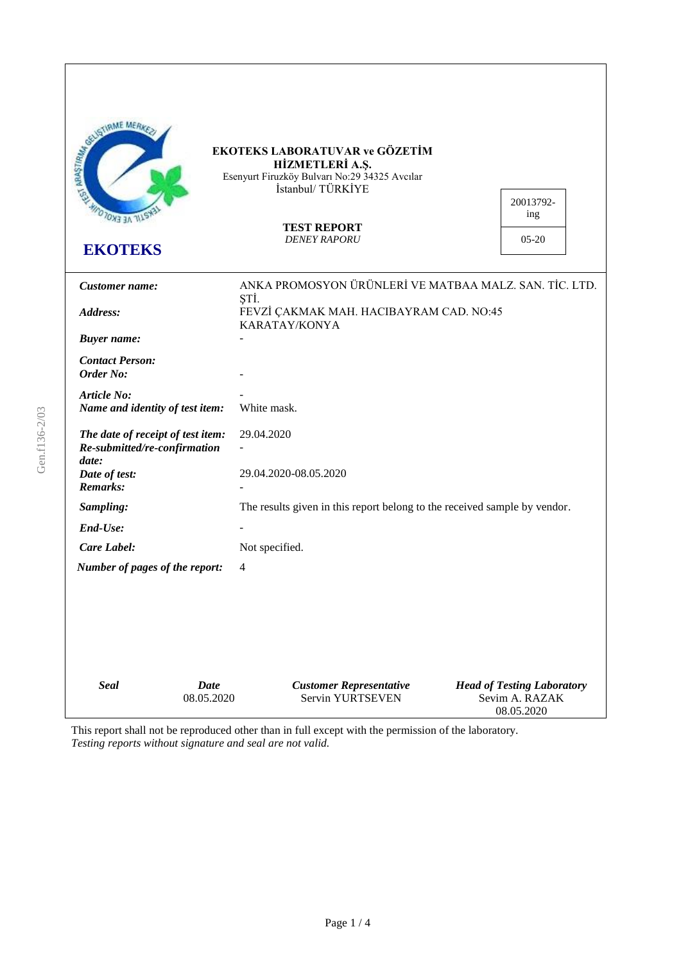| <b>COLUMNS MEANS</b><br><b>OTOXE EKOLO</b><br><b>EKOTEKS</b>               |                           | EKOTEKS LABORATUVAR ve GÖZETİM<br>HİZMETLERİ A.Ş.<br>Esenyurt Firuzköy Bulvarı No:29 34325 Avcılar<br>İstanbul/TÜRKİYE<br><b>TEST REPORT</b><br><b>DENEY RAPORU</b> | 20013792-<br>ing<br>$05-20$                         |
|----------------------------------------------------------------------------|---------------------------|---------------------------------------------------------------------------------------------------------------------------------------------------------------------|-----------------------------------------------------|
| Customer name:                                                             |                           | ANKA PROMOSYON ÜRÜNLERİ VE MATBAA MALZ. SAN. TİC. LTD.                                                                                                              |                                                     |
| Address:                                                                   |                           | ŞTİ.<br>FEVZİ ÇAKMAK MAH. HACIBAYRAM CAD. NO:45<br>KARATAY/KONYA                                                                                                    |                                                     |
| <b>Buyer</b> name:                                                         |                           |                                                                                                                                                                     |                                                     |
| <b>Contact Person:</b><br>Order No:                                        |                           |                                                                                                                                                                     |                                                     |
| Article No:<br>Name and identity of test item:                             |                           | White mask.                                                                                                                                                         |                                                     |
| The date of receipt of test item:<br>Re-submitted/re-confirmation<br>date: |                           | 29.04.2020                                                                                                                                                          |                                                     |
| Date of test:<br>Remarks:                                                  |                           | 29.04.2020-08.05.2020                                                                                                                                               |                                                     |
| Sampling:                                                                  |                           | The results given in this report belong to the received sample by vendor.                                                                                           |                                                     |
| End-Use:                                                                   |                           |                                                                                                                                                                     |                                                     |
| Care Label:                                                                |                           | Not specified.                                                                                                                                                      |                                                     |
| Number of pages of the report:                                             | 4                         |                                                                                                                                                                     |                                                     |
| <b>Seal</b>                                                                | <b>Date</b><br>08.05.2020 | <b>Customer Representative</b><br><b>Servin YURTSEVEN</b>                                                                                                           | <b>Head of Testing Laboratory</b><br>Sevim A. RAZAK |
|                                                                            |                           |                                                                                                                                                                     | 08.05.2020                                          |

This report shall not be reproduced other than in full except with the permission of the laboratory. *Testing reports without signature and seal are not valid.*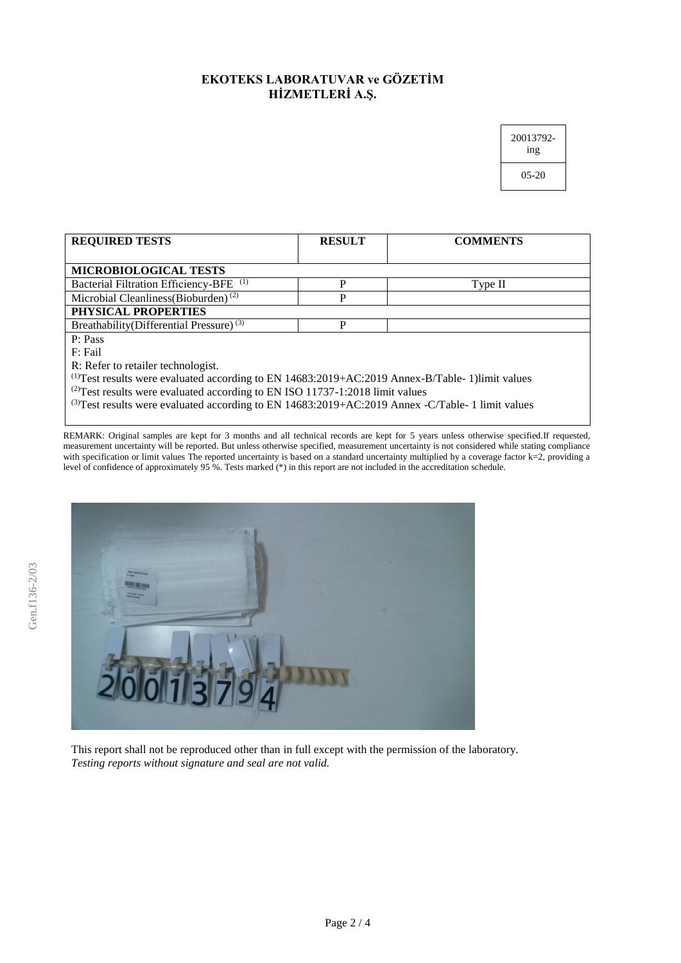## **EKOTEKS LABORATUVAR ve GÖZETİM HİZMETLERİ A.Ş.**

| 20013792-<br>1ng |  |
|------------------|--|
| 05-20            |  |

| <b>REQUIRED TESTS</b>                                                                                 | <b>RESULT</b> | <b>COMMENTS</b> |  |
|-------------------------------------------------------------------------------------------------------|---------------|-----------------|--|
|                                                                                                       |               |                 |  |
| MICROBIOLOGICAL TESTS                                                                                 |               |                 |  |
| (1)<br><b>Bacterial Filtration Efficiency-BFE</b>                                                     | P             | Type II         |  |
| Microbial Cleanliness(Bioburden) <sup>(2)</sup>                                                       | P             |                 |  |
| PHYSICAL PROPERTIES                                                                                   |               |                 |  |
| Breathability(Differential Pressure) <sup>(3)</sup>                                                   | P             |                 |  |
| P: Pass                                                                                               |               |                 |  |
| F: Fail                                                                                               |               |                 |  |
| R: Refer to retailer technologist.                                                                    |               |                 |  |
| $^{(1)}$ Test results were evaluated according to EN 14683:2019+AC:2019 Annex-B/Table-1)limit values  |               |                 |  |
| $^{(2)}$ Test results were evaluated according to EN ISO 11737-1:2018 limit values                    |               |                 |  |
| $^{(3)}$ Test results were evaluated according to EN 14683:2019+AC:2019 Annex -C/Table-1 limit values |               |                 |  |
|                                                                                                       |               |                 |  |

REMARK: Original samples are kept for 3 months and all technical records are kept for 5 years unless otherwise specified.If requested, measurement uncertainty will be reported. But unless otherwise specified, measurement uncertainty is not considered while stating compliance with specification or limit values The reported uncertainty is based on a standard uncertainty multiplied by a coverage factor k=2, providing a level of confidence of approximately 95 %. Tests marked (\*) in this report are not included in the accreditation schedule.



This report shall not be reproduced other than in full except with the permission of the laboratory. *Testing reports without signature and seal are not valid.*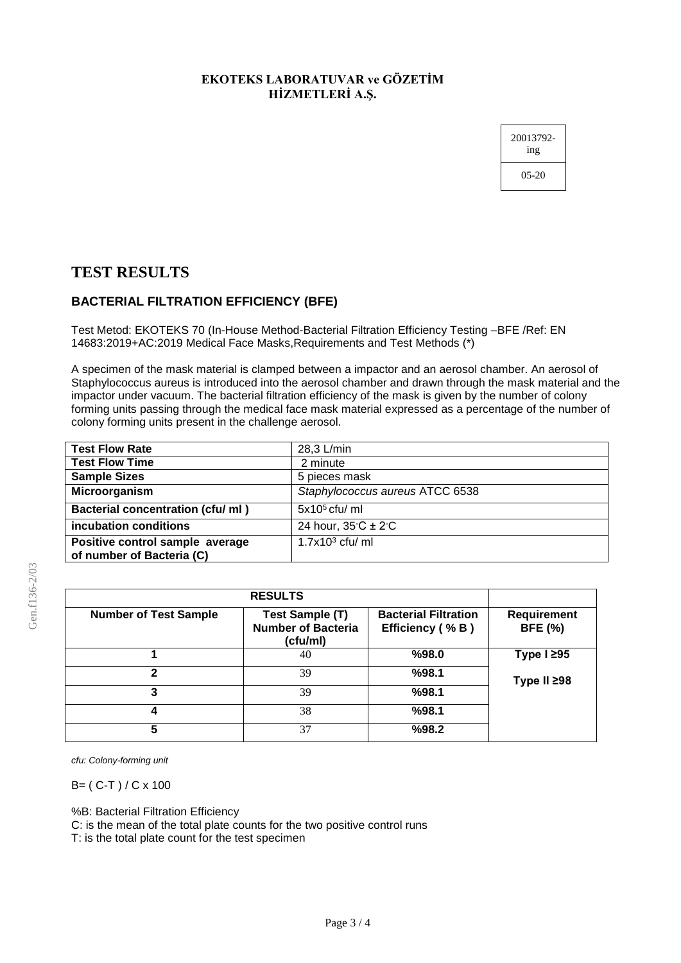#### **EKOTEKS LABORATUVAR ve GÖZETİM HİZMETLERİ A.Ş.**

20013792 ing 05-20

## **TEST RESULTS**

## **BACTERIAL FILTRATION EFFICIENCY (BFE)**

Test Metod: EKOTEKS 70 (In-House Method-Bacterial Filtration Efficiency Testing –BFE /Ref: EN 14683:2019+AC:2019 Medical Face Masks,Requirements and Test Methods (\*)

A specimen of the mask material is clamped between a impactor and an aerosol chamber. An aerosol of Staphylococcus aureus is introduced into the aerosol chamber and drawn through the mask material and the impactor under vacuum. The bacterial filtration efficiency of the mask is given by the number of colony forming units passing through the medical face mask material expressed as a percentage of the number of colony forming units present in the challenge aerosol.

| <b>Test Flow Rate</b>             | 28,3 L/min                               |
|-----------------------------------|------------------------------------------|
| <b>Test Flow Time</b>             | 2 minute                                 |
| <b>Sample Sizes</b>               | 5 pieces mask                            |
| Microorganism                     | Staphylococcus aureus ATCC 6538          |
| Bacterial concentration (cfu/ ml) | $5x105$ cfu/ ml                          |
| incubation conditions             | 24 hour, $35^{\circ}$ C ± 2 $^{\circ}$ C |
| Positive control sample average   | $1.7x103$ cfu/ ml                        |
| of number of Bacteria (C)         |                                          |

|                              | <b>RESULTS</b>                                                  |                                                |                                      |
|------------------------------|-----------------------------------------------------------------|------------------------------------------------|--------------------------------------|
| <b>Number of Test Sample</b> | <b>Test Sample (T)</b><br><b>Number of Bacteria</b><br>(cfu/ml) | <b>Bacterial Filtration</b><br>Efficiency (%B) | <b>Requirement</b><br><b>BFE (%)</b> |
|                              | 40                                                              | %98.0                                          | Type $l \geq 95$                     |
| 2                            | 39                                                              | %98.1                                          | Type II ≥98                          |
| 3                            | 39                                                              | %98.1                                          |                                      |
|                              | 38                                                              | %98.1                                          |                                      |
| 5                            | 37                                                              | %98.2                                          |                                      |

*cfu: Colony-forming unit*

B= ( C-T ) / C x 100

%B: Bacterial Filtration Efficiency

C: is the mean of the total plate counts for the two positive control runs

T: is the total plate count for the test specimen